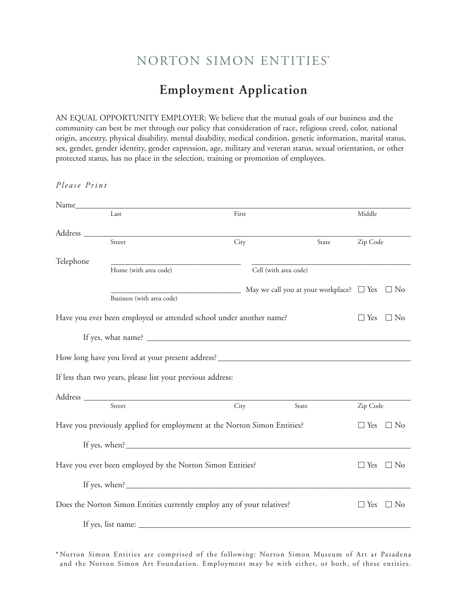# NORTON SIMON ENTITIES\*

## **Employment Application**

AN EQUAL OPPORTUNITY EMPLOYER: We believe that the mutual goals of our business and the community can best be met through our policy that consideration of race, religious creed, color, national origin, ancestry, physical disability, mental disability, medical condition, genetic information, marital status, sex, gender, gender identity, gender expression, age, military and veteran status, sexual orientation, or other protected status, has no place in the selection, training or promotion of employees.

*P le a se Pri n t* Name\_\_\_\_\_\_\_\_\_\_\_\_\_\_\_\_\_\_\_\_\_\_\_\_\_\_\_\_\_\_\_\_\_\_\_\_\_\_\_\_\_\_\_\_\_\_\_\_\_\_\_\_\_\_\_\_\_\_\_\_\_\_\_\_\_\_\_\_\_\_\_\_\_\_\_\_\_\_\_\_ Last First Middle Address \_\_\_\_\_\_\_\_\_\_\_\_\_\_\_\_\_\_\_\_\_\_\_\_\_\_\_\_\_\_\_\_\_\_\_\_\_\_\_\_\_\_\_\_\_\_\_\_\_\_\_\_\_\_\_\_\_\_\_\_\_\_\_\_\_\_\_\_\_\_\_\_\_\_\_\_\_\_ Street City State Zip Code Telephone \_\_\_\_\_\_\_\_\_\_\_\_\_\_\_\_\_\_\_\_\_\_\_\_\_\_\_\_\_\_\_ \_\_\_\_\_\_\_\_\_\_\_\_\_\_\_\_\_\_\_\_\_\_\_\_\_\_\_\_\_\_\_\_\_\_\_\_\_\_ Home (with area code) Cell (with area code)  $\Box$  May we call you at your workplace?  $\Box$  Yes  $\Box$  No Business (with area code) Have you ever been employed or attended school under another name?  $\square$  Yes  $\square$  No If yes, what name? \_\_\_\_\_\_\_\_\_\_\_\_\_\_\_\_\_\_\_\_\_\_\_\_\_\_\_\_\_\_\_\_\_\_\_\_\_\_\_\_\_\_\_\_\_\_\_\_\_\_\_\_\_\_\_\_\_\_\_\_\_\_\_ How long have you lived at your present address? \_\_\_\_\_\_\_\_\_\_\_\_\_\_\_\_\_\_\_\_\_\_\_\_\_\_\_\_\_\_\_ If less than two years, please list your previous address: Address \_\_\_\_\_\_\_\_\_\_\_\_\_\_\_\_\_\_\_\_\_\_\_\_\_\_\_\_\_\_\_\_\_\_\_\_\_\_\_\_\_\_\_\_\_\_\_\_\_\_\_\_\_\_\_\_\_\_\_\_\_\_\_\_\_\_\_\_\_\_\_\_\_\_\_\_\_\_ Street City State Zip Code Have you previously applied for employment at the Norton Simon Entities?  $\square$  Yes  $\square$  No If yes, when? Have you ever been employed by the Norton Simon Entities?  $\square$  Yes  $\square$  No If yes, when? Does the Norton Simon Entities currently employ any of your relatives?  $\square$  Yes  $\square$  No If yes, list name:

\* Norton Simon Entities are comprised of the following: Norton Simon Museum of Art at Pasadena and the Norton Simon Art Foundation. Employment may be with either, or both, of these entities.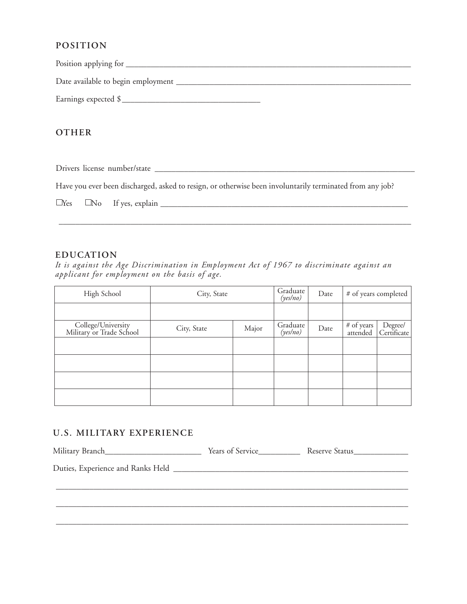### **POSITION**

Position applying for \_\_\_\_\_\_\_\_\_\_\_\_\_\_\_\_\_\_\_\_\_\_\_\_\_\_\_\_\_\_\_\_\_\_\_\_\_\_\_\_\_\_\_\_\_\_\_\_\_\_\_\_\_\_\_\_\_\_\_\_\_\_\_\_\_\_\_\_

Date available to begin employment \_\_\_\_\_\_\_\_\_\_\_\_\_\_\_\_\_\_\_\_\_\_\_\_\_\_\_\_\_\_\_\_\_\_\_\_\_\_\_\_\_\_\_\_\_\_\_\_\_\_\_\_\_\_\_\_

Earnings expected \$\_\_\_\_\_\_\_\_\_\_\_\_\_\_\_\_\_\_\_\_\_\_\_\_\_\_\_\_\_\_\_\_\_

## **OTHER**

Drivers license number/state \_\_\_\_\_\_\_\_\_\_\_\_\_\_\_\_\_\_\_\_\_\_\_\_\_\_\_\_\_\_\_\_\_\_\_\_\_\_\_\_\_\_\_\_\_\_\_\_\_\_\_\_\_\_\_\_\_\_\_\_\_\_

Have you ever been discharged, asked to resign, or otherwise been involuntarily terminated from any job?

| Yes | 'N<br>◡ | TPC<br>evn!a<br> |  |
|-----|---------|------------------|--|
|-----|---------|------------------|--|

\_\_\_\_\_\_\_\_\_\_\_\_\_\_\_\_\_\_\_\_\_\_\_\_\_\_\_\_\_\_\_\_\_\_\_\_\_\_\_\_\_\_\_\_\_\_\_\_\_\_\_\_\_\_\_\_\_\_\_\_\_\_\_\_\_\_\_\_\_\_\_\_\_\_\_\_\_\_\_\_\_\_\_\_

#### **EDUCATION**

*It is against the Age Discrimination in Employment Act of 1967 to discriminate against an applicant for employment on the basis of age.*

| High School                                    | City, State |       | Graduate<br>(yes/no) | Date |                        | # of years completed   |
|------------------------------------------------|-------------|-------|----------------------|------|------------------------|------------------------|
|                                                |             |       |                      |      |                        |                        |
| College/University<br>Military or Trade School | City, State | Major | Graduate<br>(yes/no) | Date | # of years<br>attended | Degree/<br>Certificate |
|                                                |             |       |                      |      |                        |                        |
|                                                |             |       |                      |      |                        |                        |
|                                                |             |       |                      |      |                        |                        |
|                                                |             |       |                      |      |                        |                        |

## **U. S. M IL ITARY EXPERIENCE**

| Years of Service | Reserve Status |
|------------------|----------------|
|                  |                |
|                  |                |
|                  |                |
|                  |                |
|                  |                |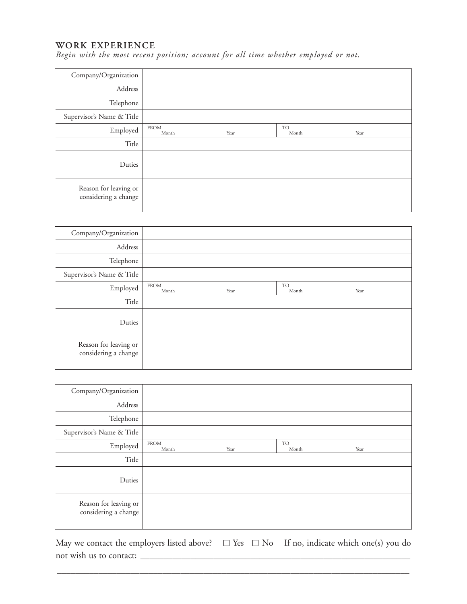#### **WORK EXPERIENCE**

*Begin with the most recent position; account for all time whether employed or not.*

| Company/Organization                          |                      |      |                    |      |
|-----------------------------------------------|----------------------|------|--------------------|------|
| Address                                       |                      |      |                    |      |
| Telephone                                     |                      |      |                    |      |
| Supervisor's Name & Title                     |                      |      |                    |      |
| Employed                                      | <b>FROM</b><br>Month | Year | <b>TO</b><br>Month | Year |
| Title                                         |                      |      |                    |      |
| Duties                                        |                      |      |                    |      |
| Reason for leaving or<br>considering a change |                      |      |                    |      |

| Company/Organization                          |                      |      |                    |      |  |
|-----------------------------------------------|----------------------|------|--------------------|------|--|
| Address                                       |                      |      |                    |      |  |
| Telephone                                     |                      |      |                    |      |  |
| Supervisor's Name & Title                     |                      |      |                    |      |  |
| Employed                                      | <b>FROM</b><br>Month | Year | <b>TO</b><br>Month | Year |  |
| Title                                         |                      |      |                    |      |  |
| Duties                                        |                      |      |                    |      |  |
| Reason for leaving or<br>considering a change |                      |      |                    |      |  |

| Company/Organization                          |                      |      |                    |      |
|-----------------------------------------------|----------------------|------|--------------------|------|
| Address                                       |                      |      |                    |      |
| Telephone                                     |                      |      |                    |      |
| Supervisor's Name & Title                     |                      |      |                    |      |
| Employed                                      | <b>FROM</b><br>Month | Year | <b>TO</b><br>Month | Year |
| Title                                         |                      |      |                    |      |
| Duties                                        |                      |      |                    |      |
| Reason for leaving or<br>considering a change |                      |      |                    |      |

May we contact the employers listed above?  $\Box$  Yes  $\Box$  No If no, indicate which one(s) you do not wish us to contact:

\_\_\_\_\_\_\_\_\_\_\_\_\_\_\_\_\_\_\_\_\_\_\_\_\_\_\_\_\_\_\_\_\_\_\_\_\_\_\_\_\_\_\_\_\_\_\_\_\_\_\_\_\_\_\_\_\_\_\_\_\_\_\_\_\_\_\_\_\_\_\_\_\_\_\_\_\_